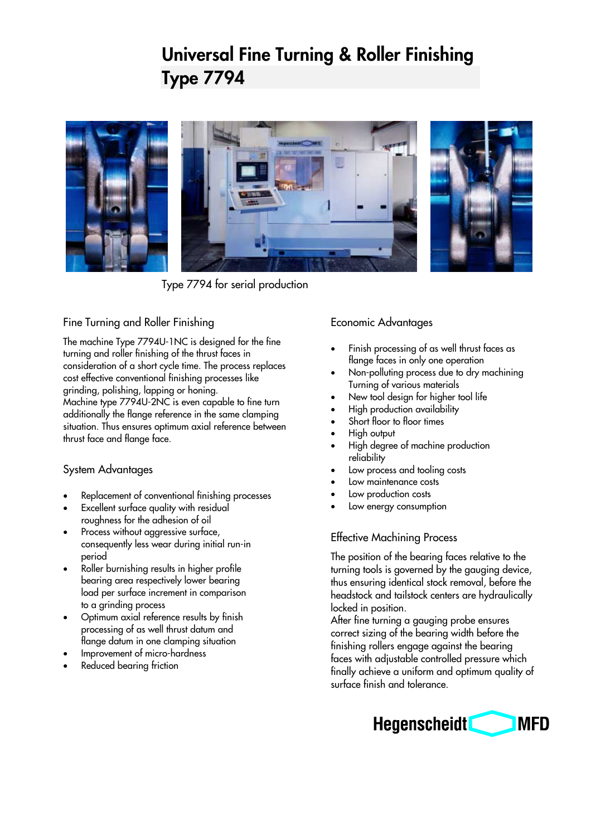# **Universal Fine Turning & Roller Finishing Type 7794**



Type 7794 for serial production

#### Fine Turning and Roller Finishing

The machine Type 7794U-1NC is designed for the fine turning and roller finishing of the thrust faces in consideration of a short cycle time. The process replaces cost effective conventional finishing processes like grinding, polishing, lapping or honing.

Machine type 7794U-2NC is even capable to fine turn additionally the flange reference in the same clamping situation. Thus ensures optimum axial reference between thrust face and flange face.

## System Advantages

- Replacement of conventional finishing processes
- Excellent surface quality with residual roughness for the adhesion of oil
- Process without aggressive surface, consequently less wear during initial run-in period
- Roller burnishing results in higher profile bearing area respectively lower bearing load per surface increment in comparison to a grinding process
- Optimum axial reference results by finish processing of as well thrust datum and flange datum in one clamping situation
- Improvement of micro-hardness
- Reduced bearing friction

## Economic Advantages

- Finish processing of as well thrust faces as flange faces in only one operation
- Non-polluting process due to dry machining Turning of various materials
- New tool design for higher tool life
- High production availability
- Short floor to floor times
- High output
- High degree of machine production reliability
- Low process and tooling costs
- Low maintenance costs
- Low production costs
- Low energy consumption

#### Effective Machining Process

The position of the bearing faces relative to the turning tools is governed by the gauging device, thus ensuring identical stock removal, before the headstock and tailstock centers are hydraulically locked in position.

After fine turning a gauging probe ensures correct sizing of the bearing width before the finishing rollers engage against the bearing faces with adjustable controlled pressure which finally achieve a uniform and optimum quality of surface finish and tolerance.